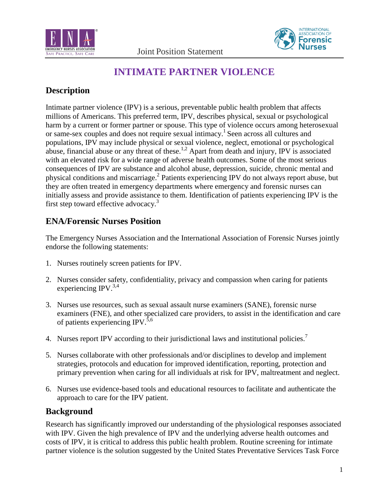



# **INTIMATE PARTNER VIOLENCE**

## **Description**

Intimate partner violence (IPV) is a serious, preventable public health problem that affects millions of Americans. This preferred term, IPV, describes physical, sexual or psychological harm by a current or former partner or spouse. This type of violence occurs among heterosexual or same-sex couples and does not require sexual intimacy.1 Seen across all cultures and populations, IPV may include physical or sexual violence, neglect, emotional or psychological abuse, financial abuse or any threat of these.<sup>1,2</sup> Apart from death and injury, IPV is associated with an elevated risk for a wide range of adverse health outcomes. Some of the most serious consequences of IPV are substance and alcohol abuse, depression, suicide, chronic mental and physical conditions and miscarriage.<sup>2</sup> Patients experiencing IPV do not always report abuse, but they are often treated in emergency departments where emergency and forensic nurses can initially assess and provide assistance to them. Identification of patients experiencing IPV is the first step toward effective advocacy.<sup>3</sup>

### **ENA/Forensic Nurses Position**

The Emergency Nurses Association and the International Association of Forensic Nurses jointly endorse the following statements:

- 1. Nurses routinely screen patients for IPV.
- 2. Nurses consider safety, confidentiality, privacy and compassion when caring for patients experiencing IPV.<sup>3,4</sup>
- 3. Nurses use resources, such as sexual assault nurse examiners (SANE), forensic nurse examiners (FNE), and other specialized care providers, to assist in the identification and care of patients experiencing IPV.<sup>5,6</sup>
- 4. Nurses report IPV according to their jurisdictional laws and institutional policies.<sup>7</sup>
- 5. Nurses collaborate with other professionals and/or disciplines to develop and implement strategies, protocols and education for improved identification, reporting, protection and primary prevention when caring for all individuals at risk for IPV, maltreatment and neglect.
- 6. Nurses use evidence-based tools and educational resources to facilitate and authenticate the approach to care for the IPV patient.

#### **Background**

Research has significantly improved our understanding of the physiological responses associated with IPV. Given the high prevalence of IPV and the underlying adverse health outcomes and costs of IPV, it is critical to address this public health problem. Routine screening for intimate partner violence is the solution suggested by the United States Preventative Services Task Force